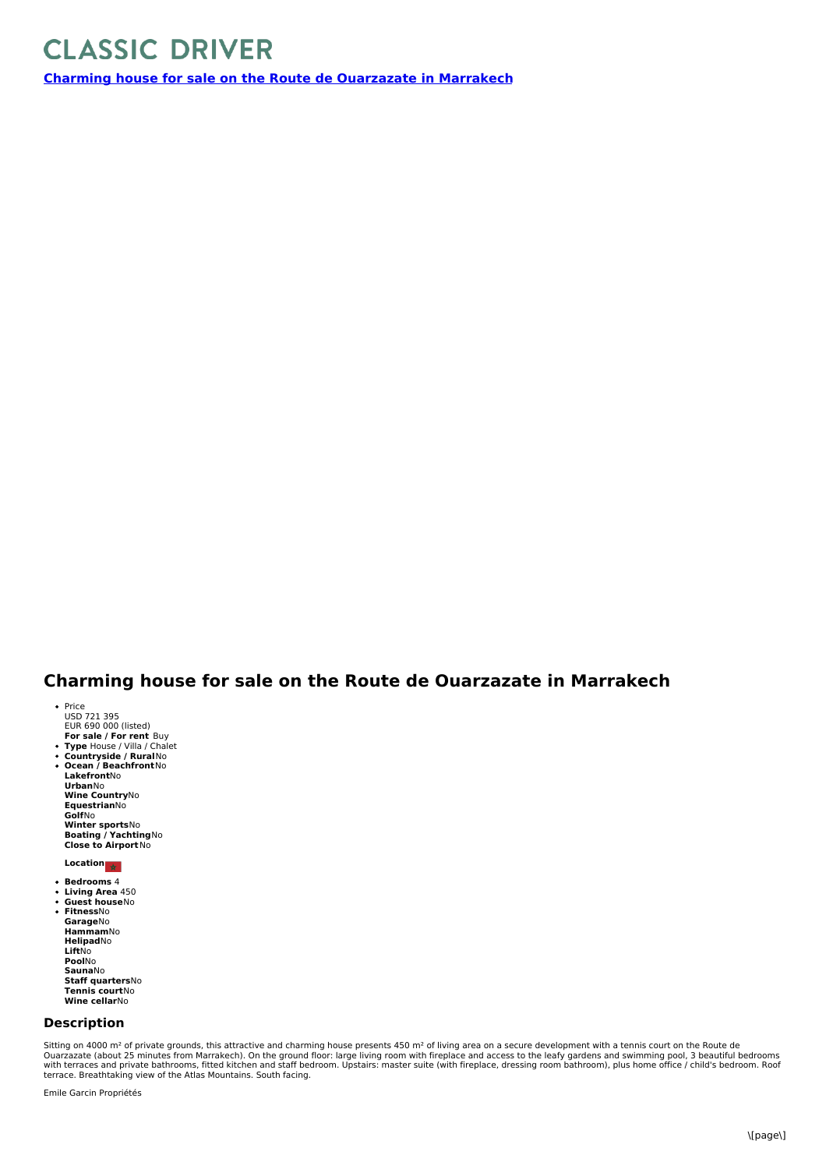## **CLASSIC DRIVER**

**Charming house for sale on the Route de [Ouarzazate](https://www.classicdriver.com/en/real-estate/charming-house-sale-route-de-ouarzazate-marrakech) in Marrakech**

## **Charming house for sale on the Route de Ouarzazate in Marrakech**

- **For sale / For rent** Buy Price<br>USD 721 395<br>EUR 690 000 (listed)
- **Type** House / Villa / Chalet **Countryside / Rural**No  $\ddot{\phantom{0}}$
- $\bullet$ **Ocean /Beachfront**No **Lakefront**No **Urban**No **Wine Country**No **Equestrian**No **Golf**No **Winter sports**No **Boating / Yachting**No **Close to Airport**No

**Location**

- **Bedrooms** 4
- $\ddot{\phantom{0}}$ **Living Area** 450 **Guest house**No
- **Fitness**No
- **Garage**No **Hammam**No **Helipad**No **Lift**No **Pool**No **Sauna**No **Staff quarters**No **Tennis court**No **Wine cellar**No

## **Description**

Sitting on 4000 m<sup>2</sup> of private grounds, this attractive and charming house presents 450 m<sup>2</sup> of living area on a secure development with a tennis court on the Route de Ouarzazate (about 25 minutes from Marrakech). On the ground floor: large living room with fireplace and access to the leafy gardens and swimming pool, 3 beautiful bedrooms<br>with terraces and private bathrooms, fitted kitche terrace. Breathtaking view of the Atlas Mountains. South facing.

Emile Garcin Propriétés